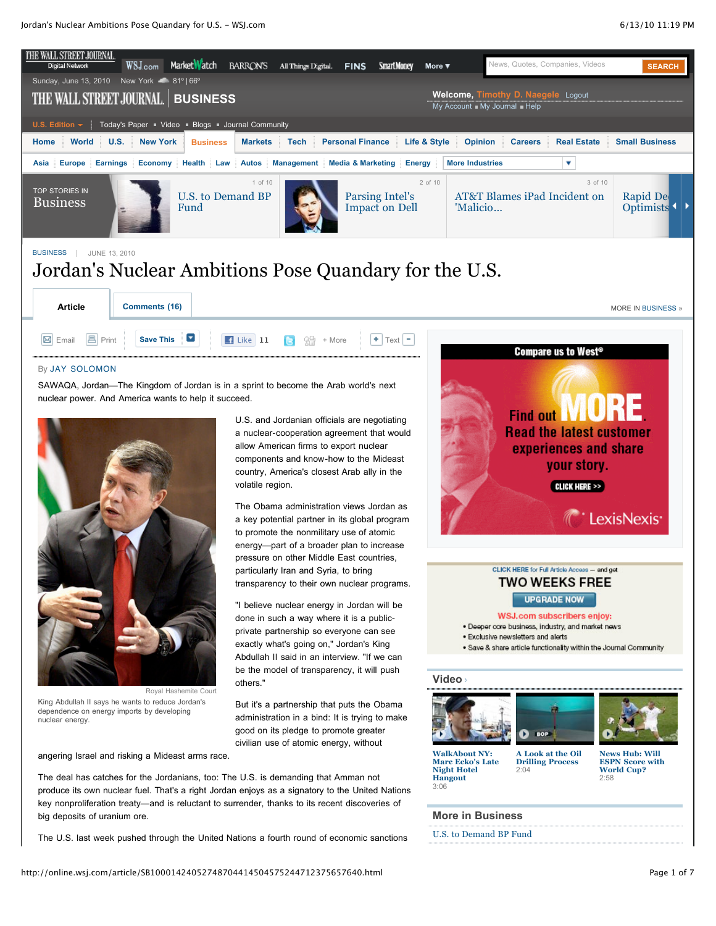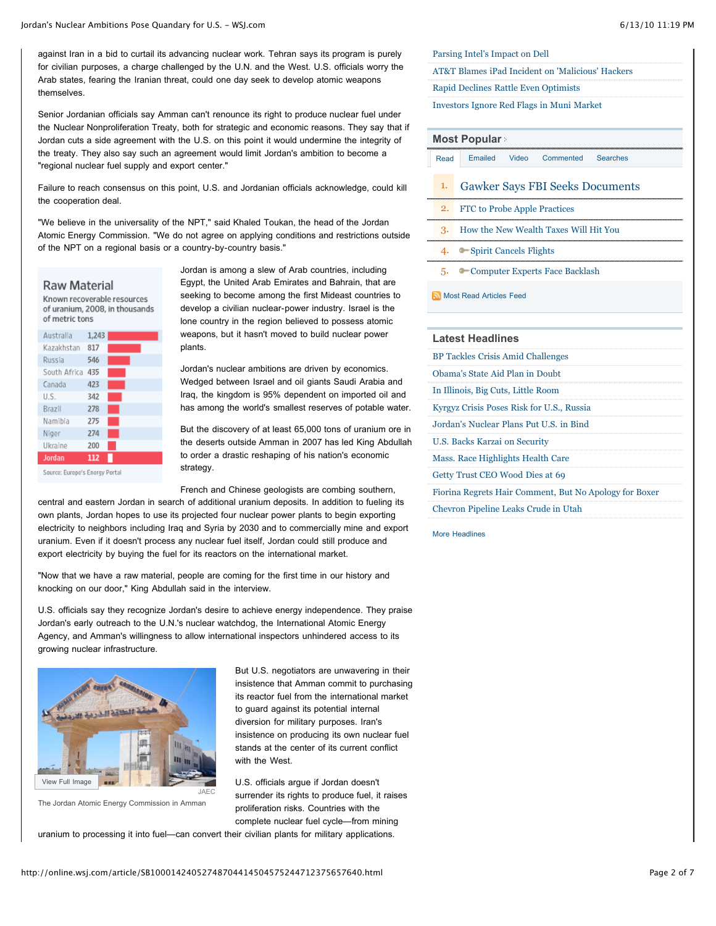against Iran in a bid to curtail its advancing nuclear work. Tehran says its program is purely for civilian purposes, a charge challenged by the U.N. and the West. U.S. officials worry the Arab states, fearing the Iranian threat, could one day seek to develop atomic weapons themselves.

Senior Jordanian officials say Amman can't renounce its right to produce nuclear fuel under the Nuclear Nonproliferation Treaty, both for strategic and economic reasons. They say that if Jordan cuts a side agreement with the U.S. on this point it would undermine the integrity of the treaty. They also say such an agreement would limit Jordan's ambition to become a "regional nuclear fuel supply and export center."

Failure to reach consensus on this point, U.S. and Jordanian officials acknowledge, could kill the cooperation deal.

"We believe in the universality of the NPT," said Khaled Toukan, the head of the Jordan Atomic Energy Commission. "We do not agree on applying conditions and restrictions outside of the NPT on a regional basis or a country-by-country basis."

### Raw Material

Known recoverable resources of uranium, 2008, in thousands of metric tons

| Australia    | 1,243 |  |
|--------------|-------|--|
| Kazakhstan   | 817   |  |
| Russia       | 546   |  |
| South Africa | 435   |  |
| Canada       | 423   |  |
| U.S.         | 342   |  |
| Brazil       | 278   |  |
| Namibia      | 275   |  |
| Niger        | 274   |  |
| Ukraine      | 200   |  |
| Jordan       | 112   |  |
|              |       |  |

Source: Europe's Energy Portal

Jordan is among a slew of Arab countries, including Egypt, the United Arab Emirates and Bahrain, that are seeking to become among the first Mideast countries to develop a civilian nuclear-power industry. Israel is the lone country in the region believed to possess atomic weapons, but it hasn't moved to build nuclear power plants.

Jordan's nuclear ambitions are driven by economics. Wedged between Israel and oil giants Saudi Arabia and Iraq, the kingdom is 95% dependent on imported oil and has among the world's smallest reserves of potable water.

But the discovery of at least 65,000 tons of uranium ore in the deserts outside Amman in 2007 has led King Abdullah to order a drastic reshaping of his nation's economic strategy.

French and Chinese geologists are combing southern,

central and eastern Jordan in search of additional uranium deposits. In addition to fueling its own plants, Jordan hopes to use its projected four nuclear power plants to begin exporting electricity to neighbors including Iraq and Syria by 2030 and to commercially mine and export uranium. Even if it doesn't process any nuclear fuel itself, Jordan could still produce and export electricity by buying the fuel for its reactors on the international market.

"Now that we have a raw material, people are coming for the first time in our history and knocking on our door," King Abdullah said in the interview.

U.S. officials say they recognize Jordan's desire to achieve energy independence. They praise Jordan's early outreach to the U.N.'s nuclear watchdog, the International Atomic Energy Agency, and Amman's willingness to allow international inspectors unhindered access to its growing nuclear infrastructure.



The Jordan Atomic Energy Commission in Amman

But U.S. negotiators are unwavering in their insistence that Amman commit to purchasing its reactor fuel from the international market to guard against its potential internal diversion for military purposes. Iran's insistence on producing its own nuclear fuel stands at the center of its current conflict with the West.

U.S. officials argue if Jordan doesn't surrender its rights to produce fuel, it raises proliferation risks. Countries with the complete nuclear fuel cycle—from mining

uranium to processing it into fuel—can convert their civilian plants for military applications.

[Parsing Intel's Impact on Dell](http://online.wsj.com/article/SB10001424052748704067504575305003810938096.html?mod=WSJ_article_MoreIn)

[AT&T Blames iPad Incident on 'Malicious' Hackers](http://online.wsj.com/article/SB10001424052748703389004575305611381540180.html?mod=WSJ_article_MoreIn)

[Rapid Declines Rattle Even Optimists](http://online.wsj.com/article/SB10001424052748704067504575304740232216102.html?mod=WSJ_article_MoreIn)

[Investors Ignore Red Flags in Muni Market](http://online.wsj.com/article/SB10001424052748704067504575304782084631368.html?mod=WSJ_article_MoreIn)

### **[Most Popular](http://online.wsj.com/public/page/most_popular.html)**

- [Read](http://online.wsj.com/article/SB10001424052748704414504575244712375657640.html#mostPopular_mostRead) [Emailed](http://online.wsj.com/article/SB10001424052748704414504575244712375657640.html#mostPopular_mostEmailed) [Video](http://online.wsj.com/article/SB10001424052748704414504575244712375657640.html#mostPopular_mostPopularVideo) [Commented](http://online.wsj.com/article/SB10001424052748704414504575244712375657640.html#mostPopular_mostCommented) [Searches](http://online.wsj.com/article/SB10001424052748704414504575244712375657640.html#mostPopular_mostSearched)
- 1. [Gawker Says FBI Seeks Documents](http://online.wsj.com/article/SB10001424052748703509404575300502915914936.html?mod=WSJ_hp_mostpop_read)
- 2. [FTC to Probe Apple Practices](http://online.wsj.com/article/SB10001424052748703509404575301242754089172.html?mod=WSJ_hp_mostpop_read)
- 3. [How the New Wealth Taxes Will Hit You](http://online.wsj.com/article/SB10001424052748703890904575297351898565426.html?mod=WSJ_hp_mostpop_read)
- 4. [Spirit Cancels Flights](http://online.wsj.com/article/SB10001424052748703433704575302161907194860.html?mod=WSJ_hp_mostpop_read)
- 5. [Computer Experts Face Backlash](http://online.wsj.com/article/SB10001424052748703885104575303032919382858.html?mod=WSJ_hp_mostpop_read)

[Most Read Articles Feed](http://online.wsj.com/rss?mod=fpp_rss)

### **Latest Headlines**

[BP Tackles Crisis Amid Challenges](http://online.wsj.com/article/SB10001424052748704067504575304813991126820.html?mod=WSJ_article_LatestHeadlines)

[Obama's State Aid Plan in Doubt](http://online.wsj.com/article/SB10001424052748704067504575304981531739508.html?mod=WSJ_article_LatestHeadlines)

[In Illinois, Big Cuts, Little Room](http://online.wsj.com/article/SB10001424052748704312104575298632860515858.html?mod=WSJ_article_LatestHeadlines)

[Kyrgyz Crisis Poses Risk for U.S., Russia](http://online.wsj.com/article/SB10001424052748703389004575305110468537170.html?mod=WSJ_article_LatestHeadlines)

[Jordan's Nuclear Plans Put U.S. in Bind](http://online.wsj.com/article/SB10001424052748704414504575244712375657640.html?mod=WSJ_article_LatestHeadlines)

[U.S. Backs Karzai on Security](http://online.wsj.com/article/SB10001424052748704067504575305002887026426.html?mod=WSJ_article_LatestHeadlines)

[Mass. Race Highlights Health Care](http://online.wsj.com/article/SB10001424052748704093204575216743872452352.html?mod=WSJ_article_LatestHeadlines)

[Getty Trust CEO Wood Dies at 69](http://online.wsj.com/article/SB10001424052748703433704575303470750009514.html?mod=WSJ_article_LatestHeadlines)

[Fiorina Regrets Hair Comment, But No Apology for Boxer](http://blogs.wsj.com/washwire/2010/06/13/fiorina-regrets-hair-comment-but-no-apology-for-boxer/)

[Chevron Pipeline Leaks Crude in Utah](http://online.wsj.com/article/SB10001424052748703433704575303510699578820.html?mod=WSJ_article_LatestHeadlines)

[More Headlines](http://online.wsj.com/home/us)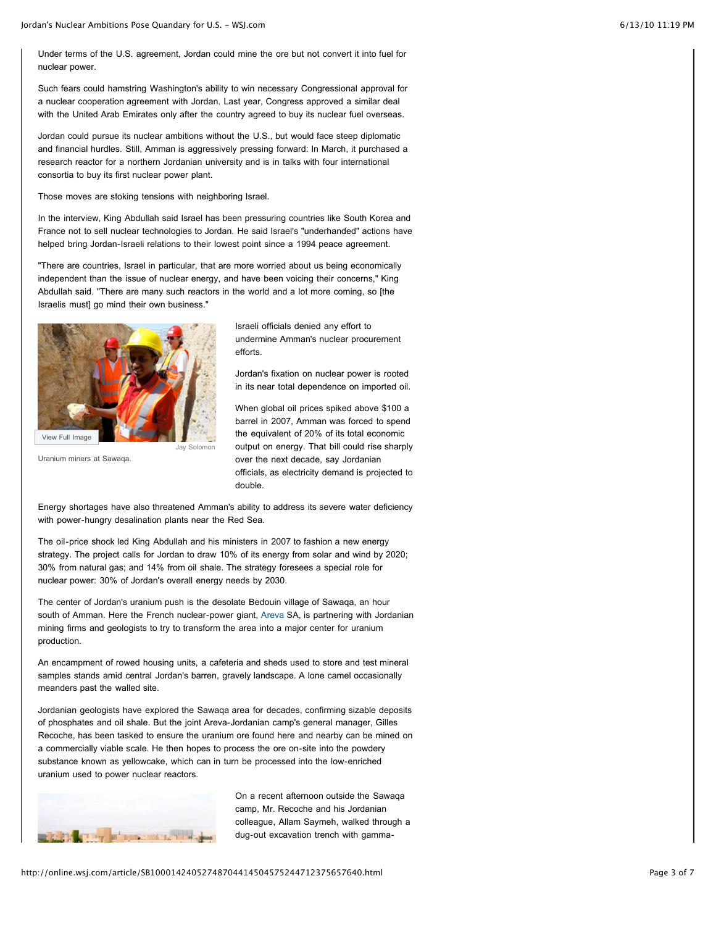Under terms of the U.S. agreement, Jordan could mine the ore but not convert it into fuel for nuclear power.

Such fears could hamstring Washington's ability to win necessary Congressional approval for a nuclear cooperation agreement with Jordan. Last year, Congress approved a similar deal with the United Arab Emirates only after the country agreed to buy its nuclear fuel overseas.

Jordan could pursue its nuclear ambitions without the U.S., but would face steep diplomatic and financial hurdles. Still, Amman is aggressively pressing forward: In March, it purchased a research reactor for a northern Jordanian university and is in talks with four international consortia to buy its first nuclear power plant.

Those moves are stoking tensions with neighboring Israel.

In the interview, King Abdullah said Israel has been pressuring countries like South Korea and France not to sell nuclear technologies to Jordan. He said Israel's "underhanded" actions have helped bring Jordan-Israeli relations to their lowest point since a 1994 peace agreement.

"There are countries, Israel in particular, that are more worried about us being economically independent than the issue of nuclear energy, and have been voicing their concerns," King Abdullah said. "There are many such reactors in the world and a lot more coming, so [the Israelis must] go mind their own business."



Uranium miners at Sawaqa.

Israeli officials denied any effort to undermine Amman's nuclear procurement efforts.

Jordan's fixation on nuclear power is rooted in its near total dependence on imported oil.

When global oil prices spiked above \$100 a barrel in 2007, Amman was forced to spend the equivalent of 20% of its total economic output on energy. That bill could rise sharply over the next decade, say Jordanian officials, as electricity demand is projected to double.

Energy shortages have also threatened Amman's ability to address its severe water deficiency with power-hungry desalination plants near the Red Sea.

The oil-price shock led King Abdullah and his ministers in 2007 to fashion a new energy strategy. The project calls for Jordan to draw 10% of its energy from solar and wind by 2020; 30% from natural gas; and 14% from oil shale. The strategy foresees a special role for nuclear power: 30% of Jordan's overall energy needs by 2030.

The center of Jordan's uranium push is the desolate Bedouin village of Sawaqa, an hour south of Amman. Here the French nuclear-power giant, [Areva](http://online.wsj.com/public/quotes/main.html?type=djn&symbol=CEI.FR) SA, is partnering with Jordanian mining firms and geologists to try to transform the area into a major center for uranium production.

An encampment of rowed housing units, a cafeteria and sheds used to store and test mineral samples stands amid central Jordan's barren, gravely landscape. A lone camel occasionally meanders past the walled site.

Jordanian geologists have explored the Sawaqa area for decades, confirming sizable deposits of phosphates and oil shale. But the joint Areva-Jordanian camp's general manager, Gilles Recoche, has been tasked to ensure the uranium ore found here and nearby can be mined on a commercially viable scale. He then hopes to process the ore on-site into the powdery substance known as yellowcake, which can in turn be processed into the low-enriched uranium used to power nuclear reactors.



On a recent afternoon outside the Sawaqa camp, Mr. Recoche and his Jordanian colleague, Allam Saymeh, walked through a dug-out excavation trench with gamma-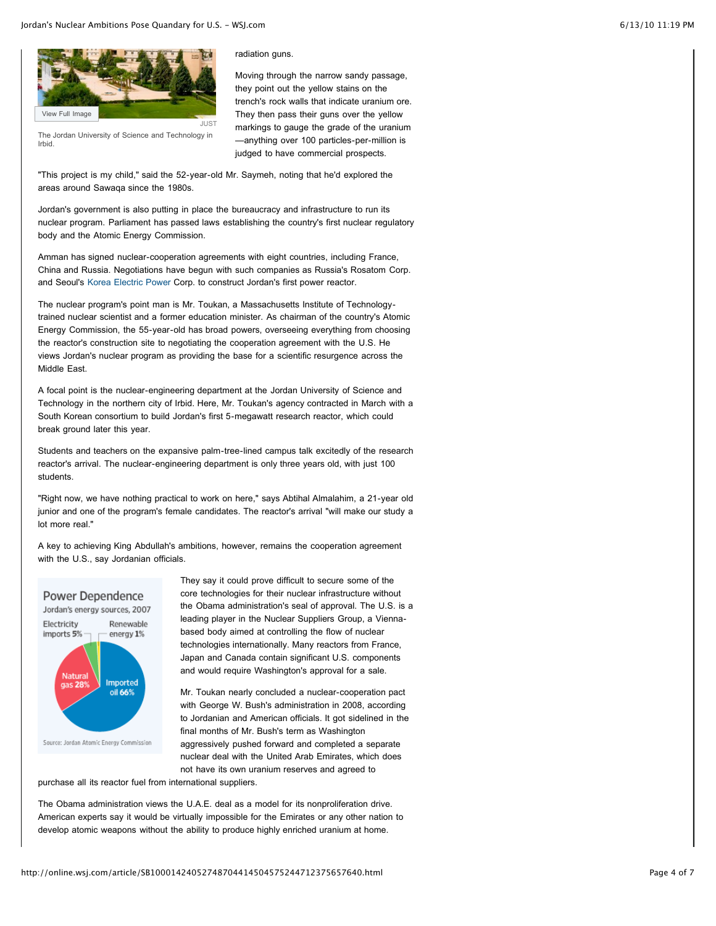

The Jordan University of Science and Technology in Irbid.

radiation guns.

Moving through the narrow sandy passage, they point out the yellow stains on the trench's rock walls that indicate uranium ore. They then pass their guns over the yellow markings to gauge the grade of the uranium —anything over 100 particles-per-million is judged to have commercial prospects.

"This project is my child," said the 52-year-old Mr. Saymeh, noting that he'd explored the areas around Sawaqa since the 1980s.

Jordan's government is also putting in place the bureaucracy and infrastructure to run its nuclear program. Parliament has passed laws establishing the country's first nuclear regulatory body and the Atomic Energy Commission.

Amman has signed nuclear-cooperation agreements with eight countries, including France, China and Russia. Negotiations have begun with such companies as Russia's Rosatom Corp. and Seoul's [Korea Electric Power](http://online.wsj.com/public/quotes/main.html?type=djn&symbol=KEP) Corp. to construct Jordan's first power reactor.

The nuclear program's point man is Mr. Toukan, a Massachusetts Institute of Technologytrained nuclear scientist and a former education minister. As chairman of the country's Atomic Energy Commission, the 55-year-old has broad powers, overseeing everything from choosing the reactor's construction site to negotiating the cooperation agreement with the U.S. He views Jordan's nuclear program as providing the base for a scientific resurgence across the Middle East.

A focal point is the nuclear-engineering department at the Jordan University of Science and Technology in the northern city of Irbid. Here, Mr. Toukan's agency contracted in March with a South Korean consortium to build Jordan's first 5-megawatt research reactor, which could break ground later this year.

Students and teachers on the expansive palm-tree-lined campus talk excitedly of the research reactor's arrival. The nuclear-engineering department is only three years old, with just 100 students.

"Right now, we have nothing practical to work on here," says Abtihal Almalahim, a 21-year old junior and one of the program's female candidates. The reactor's arrival "will make our study a lot more real."

A key to achieving King Abdullah's ambitions, however, remains the cooperation agreement with the U.S., say Jordanian officials.



They say it could prove difficult to secure some of the core technologies for their nuclear infrastructure without the Obama administration's seal of approval. The U.S. is a leading player in the Nuclear Suppliers Group, a Viennabased body aimed at controlling the flow of nuclear technologies internationally. Many reactors from France, Japan and Canada contain significant U.S. components and would require Washington's approval for a sale.

Mr. Toukan nearly concluded a nuclear-cooperation pact with George W. Bush's administration in 2008, according to Jordanian and American officials. It got sidelined in the final months of Mr. Bush's term as Washington aggressively pushed forward and completed a separate nuclear deal with the United Arab Emirates, which does not have its own uranium reserves and agreed to

purchase all its reactor fuel from international suppliers.

The Obama administration views the U.A.E. deal as a model for its nonproliferation drive. American experts say it would be virtually impossible for the Emirates or any other nation to develop atomic weapons without the ability to produce highly enriched uranium at home.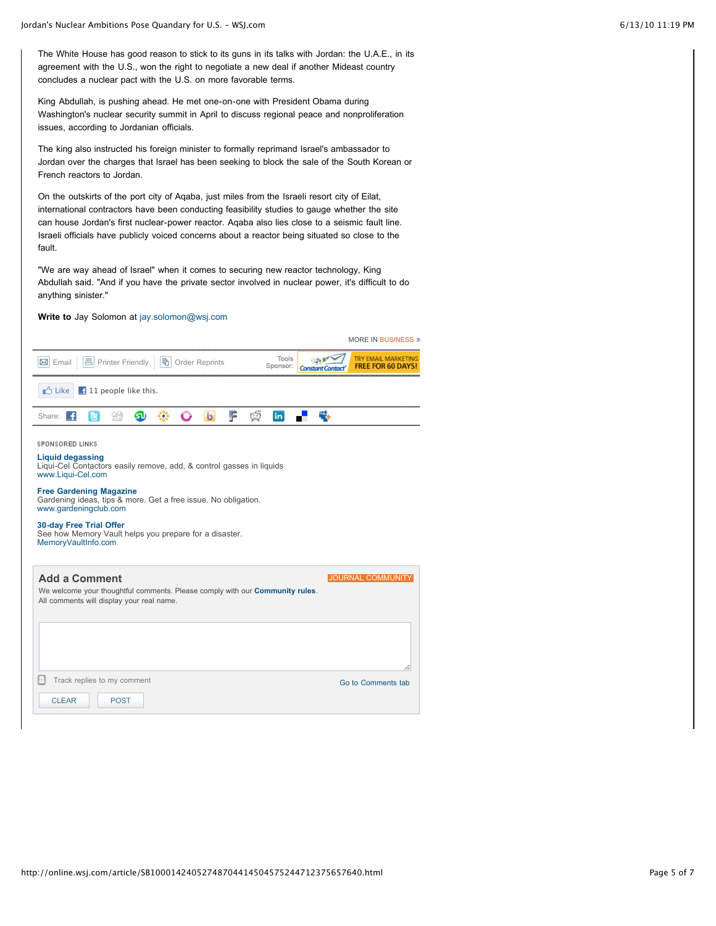The White House has good reason to stick to its guns in its talks with Jordan: the U.A.E., in its agreement with the U.S., won the right to negotiate a new deal if another Mideast country concludes a nuclear pact with the U.S. on more favorable terms.

King Abdullah, is pushing ahead. He met one-on-one with President Obama during Washington's nuclear security summit in April to discuss regional peace and nonproliferation issues, according to Jordanian officials.

The king also instructed his foreign minister to formally reprimand Israel's ambassador to Jordan over the charges that Israel has been seeking to block the sale of the South Korean or French reactors to Jordan.

On the outskirts of the port city of Aqaba, just miles from the Israeli resort city of Eilat, international contractors have been conducting feasibility studies to gauge whether the site can house Jordan's first nuclear-power reactor. Aqaba also lies close to a seismic fault line. Israeli officials have publicly voiced concerns about a reactor being situated so close to the fault.

"We are way ahead of Israel" when it comes to securing new reactor technology, King Abdullah said. "And if you have the private sector involved in nuclear power, it's difficult to do anything sinister."

### **Write to** Jay Solomon at [jay.solomon@wsj.com](mailto:jay.solomon@wsj.com)

|                                                                                                                                                           |                   | <b>MORE IN BUSINESS »</b>                       |  |  |
|-----------------------------------------------------------------------------------------------------------------------------------------------------------|-------------------|-------------------------------------------------|--|--|
| <b>⊠</b> Email   <b>A</b> Printer Friendly   <b>h</b> Order Reprints                                                                                      | Tools<br>Sponsor: | TRY EMAIL MARKETING<br><b>FREE FOR 60 DAYS!</b> |  |  |
| <b>D</b> Like<br>$\pm$ 11 people like this.                                                                                                               |                   |                                                 |  |  |
| F<br>$\mathbf{b}$<br>Share: <b>1</b>                                                                                                                      | in.               |                                                 |  |  |
| SPONSORED LINKS<br><b>Liquid degassing</b><br>Liqui-Cel Contactors easily remove, add, & control gasses in liquids<br>www.Liqui-Cel.com                   |                   |                                                 |  |  |
| <b>Free Gardening Magazine</b><br>Gardening ideas, tips & more. Get a free issue. No obligation.<br>www.gardeningclub.com                                 |                   |                                                 |  |  |
| <b>30-day Free Trial Offer</b><br>See how Memory Vault helps you prepare for a disaster.<br>MemoryVaultInfo.com                                           |                   |                                                 |  |  |
| <b>Add a Comment</b><br>We welcome your thoughtful comments. Please comply with our <b>Community rules</b> .<br>All comments will display your real name. |                   | <b>JOURNAL COMMUNI</b>                          |  |  |

| All comments will display your real name. |                    |
|-------------------------------------------|--------------------|
|                                           |                    |
|                                           |                    |
|                                           |                    |
|                                           | b .                |
| н<br>Track replies to my comment          | Go to Comments tab |
| <b>POST</b><br><b>CLEAR</b>               |                    |